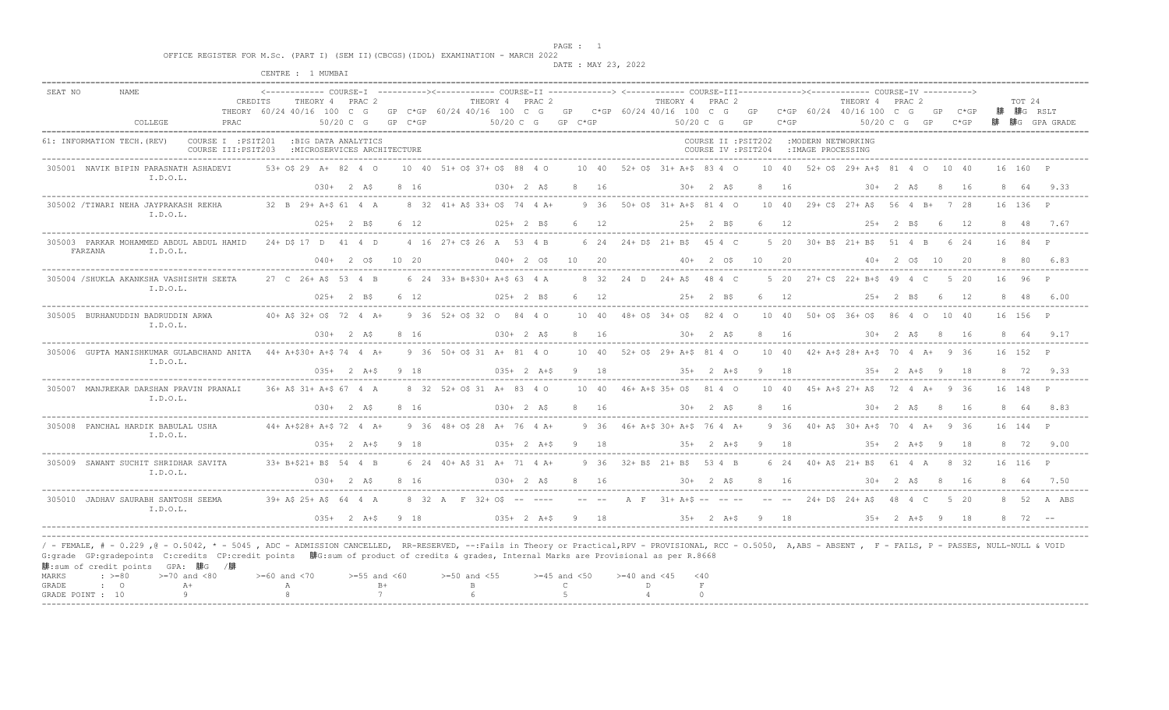en and the set of the set of the set of the set of the set of the set of the set of the set of the set of the set of the set of the set of the set of the set of the set of the set of the set of the set of the set of the se

 OFFICE REGISTER FOR M.Sc. (PART I) (SEM II)(CBCGS)(IDOL) EXAMINATION - MARCH 2022 DATE : MAY 23, 2022

|                |                                              |                                                                                                                                                                                                                                                                                                                                                                                                                                |                                                                | CENTRE : 1 MUMBAI                  |                              |                               |                                                  |                                                 |                                                                                                                                                                                                                |                                                                                   |      |        |                                             |              |                            |                  |               |                              |
|----------------|----------------------------------------------|--------------------------------------------------------------------------------------------------------------------------------------------------------------------------------------------------------------------------------------------------------------------------------------------------------------------------------------------------------------------------------------------------------------------------------|----------------------------------------------------------------|------------------------------------|------------------------------|-------------------------------|--------------------------------------------------|-------------------------------------------------|----------------------------------------------------------------------------------------------------------------------------------------------------------------------------------------------------------------|-----------------------------------------------------------------------------------|------|--------|---------------------------------------------|--------------|----------------------------|------------------|---------------|------------------------------|
| SEAT NO        | <b>NAME</b>                                  | COLLEGE                                                                                                                                                                                                                                                                                                                                                                                                                        | CREDITS<br>THEORY 60/24 40/16 100 C G<br>PRAC                  |                                    | THEORY 4 PRAC 2<br>50/20 C G | $GP$ $C*GP$                   | THEORY 4 PRAC 2<br>$50/20$ C G GP C*GP           |                                                 | <------------ COURSE-I ----------><------------ COURSE-II -------------> <------------ COURSE-III------------><----------- COURSE-IV ----------><br>GP C*GP 60/24 40/16 100 C G GP C*GP 60/24 40/16 100 C G GP | THEORY 4 PRAC 2<br>$50/20 \text{ C}$ G GP                                         |      | $C*GP$ | THEORY 4 PRAC 2<br>C*GP 60/24 40/16 100 C G | 50/20 C G GP | GP                         | $C*GP$<br>$C*GP$ | TOT 24        | 腓 腓G RSLT<br>腓 腓G GPA GRADE  |
|                | 61: INFORMATION TECH. (REV)                  |                                                                                                                                                                                                                                                                                                                                                                                                                                | COURSE I : PSIT201 : BIG DATA ANALYTICS<br>COURSE III: PSIT203 | : MICROSERVICES ARCHITECTURE       |                              |                               |                                                  |                                                 |                                                                                                                                                                                                                | COURSE II : PSIT202 : MODERN NETWORKING<br>COURSE IV : PSIT204 : IMAGE PROCESSING |      |        |                                             |              |                            |                  |               |                              |
|                |                                              | 305001 NAVIK BIPIN PARASNATH ASHADEVI<br>I.D.O.L.                                                                                                                                                                                                                                                                                                                                                                              |                                                                | 53+ 0\$ 29 A+ 82 4 0               |                              | $030+$ 2 AS 8 16              | 10 40 51+ 0\$ 37+ 0\$ 88 4 0<br>$030+2$ AS       |                                                 | 10 40 52+ 0\$ 31+ A+\$ 83 4 0 10 40 52+ 0\$ 29+ A+\$ 81 4 0 10 40<br>8 16 30+ 2 A\$ 8 16                                                                                                                       |                                                                                   |      |        |                                             |              | $30+$ 2 AS 8 16            |                  | 16 160 P      | 8 64 9.33                    |
|                |                                              | 305002 /TIWARI NEHA JAYPRAKASH REKHA<br>I.D.O.L.                                                                                                                                                                                                                                                                                                                                                                               |                                                                | 32 B 29+ A+\$ 61 4 A               |                              | $025+2$ BS 6 12               | 8 32 41+ A\$ 33+ O\$ 74 4 A+                     | $025+2$ BS 6 12                                 | 9 36 50 + 0\$ 31 + A + \$ 81 4 0 10 40 29 + C\$ 27 + A \$ 56 4 B + 7 28                                                                                                                                        | 25+ 2 B\$ 6 12                                                                    |      |        |                                             |              | $25+$ 2 B\$ 6 12           |                  | 16 136 P      | 8 48 7.67                    |
|                | FARZANA                                      | 305003 PARKAR MOHAMMED ABDUL ABDUL HAMID 24+ D\$ 17 D 41 4 D<br>I.D.O.L.                                                                                                                                                                                                                                                                                                                                                       |                                                                |                                    |                              | $040+$ 2 0\$ 10 20            |                                                  |                                                 | 4 16 27 + C\$ 26 A 53 4 B 6 24 24 + D\$ 21 + B\$ 45 4 C<br>$040+$ 2 0\$ 10 20 40+ 2 0\$ 10 20                                                                                                                  |                                                                                   |      |        | 5 20 30+ B\$ 21+ B\$ 51 4 B                 |              | $40 + 2$ $05$ $10$ $20$    | 6 24             | 16            | 84 P<br>8 80 6.83            |
|                |                                              | 305004 / SHUKLA AKANKSHA VASHISHTH SEETA<br>I.D.O.L.                                                                                                                                                                                                                                                                                                                                                                           |                                                                | 27 C 26+ A\$ 53 4 B                |                              | $025+$ 2 BS 6 12              | 6 24 33+ B+\$30+ A+\$ 63 4 A                     | 025+ 2 B\$ 6 12                                 | 8 32 24 D 24 + A\$ 48 4 C                                                                                                                                                                                      | $25+2$ BS                                                                         | 6 12 |        | 5 20 27+ CS 22+ B+S 49 4 C                  |              | $25+$ 2 B\$ 6 12           | 5 20             | $16 \t96 \tP$ | 8 48 6.00                    |
|                |                                              | 305005 BURHANUDDIN BADRUDDIN ARWA<br>I.D.O.L.                                                                                                                                                                                                                                                                                                                                                                                  |                                                                | 40+ A\$ 32+ O\$ 72 4 A+            |                              | $030+2$ AS 8 16               | 9 36 52 + 0 \$ 32 0 84 4 0<br>$030+2 A\$ 8 16    |                                                 | 10 40 48+ 0\$ 34+ 0\$ 82 4 0 10 40 50+ 0\$ 36+ 0\$ 86 4 0 10 40<br>$30+$ 2 AS 8 16 30 + 2 AS 8 16                                                                                                              |                                                                                   |      |        |                                             |              |                            |                  | 16 156 P      | 8 64 9.17                    |
|                |                                              | 305006 GUPTA MANISHKUMAR GULABCHAND ANITA 44+ A+\$30+ A+\$ 74 4 A+<br>I.D.O.L.                                                                                                                                                                                                                                                                                                                                                 |                                                                |                                    |                              | $035+$ 2 A+\$ 9 18            | 9 36 50+ 0\$ 31 A+ 81 4 0<br>$035+2 A+S 9 18$    |                                                 | 10 40 52+ 0\$ 29+ A+\$ 81 4 0 10 40 42+ A+\$ 28+ A+\$ 70 4 A+ 9 36<br>$35+2$ A+\$ 9 18                                                                                                                         |                                                                                   |      |        |                                             |              | $35+2$ A+\$ 9 18           |                  | 16 152 P      | 8 72 9.33                    |
|                |                                              | 305007 MANJREKAR DARSHAN PRAVIN PRANALI<br>I.D.O.L.                                                                                                                                                                                                                                                                                                                                                                            |                                                                | 36+ A\$ 31+ A+\$ 67 4 A            |                              | $030+$ 2 A\$ 8 16             | 8 32 52+ 0\$ 31 A+ 83 4 0<br>$030 + 2 A$ \$ 8 16 |                                                 | 10 40 46+ A+\$ 35+ 0\$ 81 4 0 10 40 45+ A+\$ 27+ A\$ 72 4 A+ 9 36<br>$30+2A\frac{1}{2}816$                                                                                                                     |                                                                                   |      |        | $30+2A\$ 8 16                               |              |                            |                  | 16 148 P      | 8 64 8.83                    |
|                |                                              | 305008 PANCHAL HARDIK BABULAL USHA<br>I.D.O.L.                                                                                                                                                                                                                                                                                                                                                                                 |                                                                | $44+ A+S28+ A+S$ 72 4 A+           |                              | $035+$ 2 A+\$ 9 18            | 9 36 48+ 0\$ 28 A+ 76 4 A+                       | $035+ 2 A+S 9 18$                               | 9 36 46+ A+\$ 30+ A+\$ 76 4 A+ 9 36 40+ A\$ 30+ A+\$ 70 4 A+ 9 36<br>$35+2$ A+S 9 18                                                                                                                           |                                                                                   |      |        |                                             |              | 35+2 A+\$9 18              |                  | 16 144 P      | 8 72 9.00                    |
|                |                                              | 305009 SAWANT SUCHIT SHRIDHAR SAVITA<br>I.D.O.L.                                                                                                                                                                                                                                                                                                                                                                               |                                                                | 33+ B+\$21+ B\$ 54 4 B             |                              | $0.30 + 2 A5 8 16$            | 6 24 40 + AS 31 A + 71 4 A +<br>$0.30 + 2 A5$    | 8 16                                            | 9 36 32 + B\$ 21 + B\$ 53 4 B                                                                                                                                                                                  | $30 + 2$ AS 8 16                                                                  |      |        | 6 24 40 + A\$ 21 + B\$ 61 4 A 8 32          |              | $30 + 2$ AS 8 16           |                  | 16 116 P      | 8 64 7 50                    |
|                |                                              | 305010 JADHAV SAURABH SANTOSH SEEMA<br>I.D.O.L.                                                                                                                                                                                                                                                                                                                                                                                |                                                                |                                    |                              | $0.35 + 2 A + S 9 18$         |                                                  | $035+ 2 A+5 9 18$                               | 39+ AS 25+ AS 64 4 A 8 32 A F 32+ OS -- ---- -- -- A F 31+ A+S -- -- -- -- -- 24+ DS 24+ AS 48 4 C                                                                                                             | $35+$ 2 A+\$ 9 18                                                                 |      |        |                                             |              | $35+$ 2 $\lambda + S$ 9 18 | 5 20             |               | 8 52 A ABS<br>$8 \t 72 \t -$ |
| MARKS<br>GRADE | $\div$ >=80<br>$\cdot$ 0<br>GRADE POINT : 10 | / - FEMALE, # - 0.229 ,0 - 0.5042, * - 5045 , ADC - ADMISSION CANCELLED, RR-RESERVED, --:Fails in Theory or Practical,RPV - PROVISIONAL, RCC - 0.5050, A,ABS - ABSENT , F - FAILS, P - PASSES, NULL-NULL & VOID<br>G:grade GP:gradepoints C:credits CP:credit points 腓G:sum of product of credits & grades, Internal Marks are Provisional as per R.8668<br>腓:sum of credit points GPA: 腓G /腓<br>$>=70$ and $<80$<br>$A+$<br>9 |                                                                | $>=60$ and $<70$<br><b>A</b><br>-8 |                              | $>=55$ and $<60$<br>$B+$<br>7 | $>=50$ and $<55$<br>$\mathbb B$<br>$6^{\circ}$   | $>=45$ and $<50$<br>$\mathbb{C}$<br>$5^{\circ}$ | $>= 40$ and $< 45$ $< 40$<br>D<br>$\overline{4}$                                                                                                                                                               | $\;$ F<br>$\cap$                                                                  |      |        |                                             |              |                            |                  |               |                              |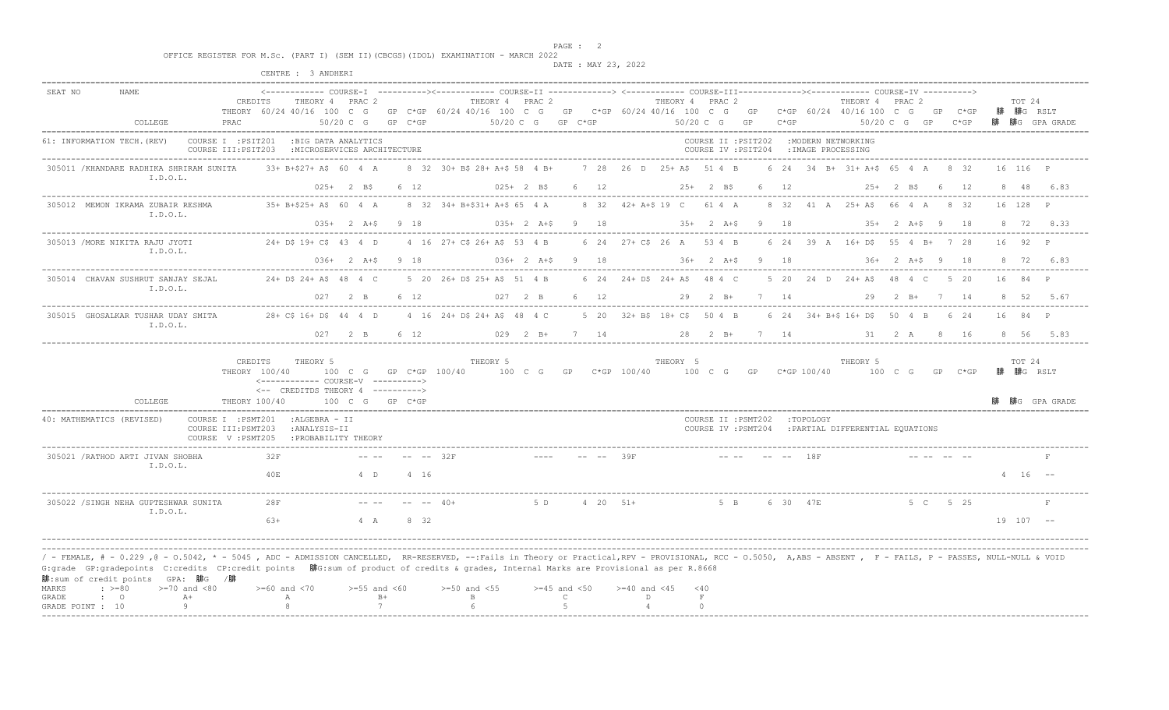end the set of the set of the set of the set of the set of the set of the set of the set of the set of the set of the set of the set of the set of the set of the set of the set of the set of the set of the set of the set o

 OFFICE REGISTER FOR M.Sc. (PART I) (SEM II)(CBCGS)(IDOL) EXAMINATION - MARCH 2022 DATE : MAY 23, 2022

|                                                                                                                                                                                                                                                                                                                                                                                                                                                                                                     |                                                                                     | CENTRE : 3 ANDHERI                                                                  |                               |                   |                                                           |                                |                                           |                                           |                                    |                                                                                   |                                                                                                                                                  |                                       |
|-----------------------------------------------------------------------------------------------------------------------------------------------------------------------------------------------------------------------------------------------------------------------------------------------------------------------------------------------------------------------------------------------------------------------------------------------------------------------------------------------------|-------------------------------------------------------------------------------------|-------------------------------------------------------------------------------------|-------------------------------|-------------------|-----------------------------------------------------------|--------------------------------|-------------------------------------------|-------------------------------------------|------------------------------------|-----------------------------------------------------------------------------------|--------------------------------------------------------------------------------------------------------------------------------------------------|---------------------------------------|
| SEAT NO<br>NAME.<br>COLLEGE                                                                                                                                                                                                                                                                                                                                                                                                                                                                         | CREDITS<br>THEORY 60/24 40/16 100 C G<br>PRAC                                       | THEORY 4 PRAC 2                                                                     | $50/20$ C G                   | $GP$ $C*GP$       |                                                           | THEORY 4 PRAC 2<br>$50/20$ C G | GP C*GP                                   |                                           | THEORY 4 PRAC 2<br>50/20 C G<br>GP | $C*GP$                                                                            | THEORY 4 PRAC 2<br>GP C*GP 60/24 40/16 100 C G GP C*GP 60/24 40/16 100 C G GP C*GP 60/24 40/16 100 C G<br>$C*GP$<br>GP<br>50/20 C G GP<br>$C*GP$ | TOT 24<br>腓 腓G RSLT<br>腓 腓G GPA GRADE |
| 61: INFORMATION TECH. (REV)                                                                                                                                                                                                                                                                                                                                                                                                                                                                         | COURSE I : PSIT201<br>COURSE III: PSIT203                                           | :BIG DATA ANALYTICS<br>: MICROSERVICES ARCHITECTURE                                 |                               |                   |                                                           |                                |                                           |                                           |                                    | COURSE II : PSIT202 : MODERN NETWORKING<br>COURSE IV : PSIT204 : IMAGE PROCESSING |                                                                                                                                                  |                                       |
| 305011 / KHANDARE RADHIKA SHRIRAM SUNITA<br>I.D.O.L.                                                                                                                                                                                                                                                                                                                                                                                                                                                |                                                                                     | 33+ B+\$27+ A\$ 60 4 A                                                              | $025+2$ BS                    | 6 12              | 8 32 30+ B\$ 28+ A+\$ 58 4 B+                             | $025+2$ B\$                    | 6 12                                      | 7 28 26 D 25+ A\$ 51 4 B                  | $25+2$ BS                          | 6 12                                                                              | 6 24 34 B+ 31+ A+\$ 65 4 A 8 32<br>25+ 2 B\$ 6 12                                                                                                | 16 116 P<br>8 48 6.83                 |
| 305012 MEMON IKRAMA ZUBAIR RESHMA<br>I.D.O.L.                                                                                                                                                                                                                                                                                                                                                                                                                                                       |                                                                                     | 35+ B+\$25+ A\$ 60 4 A                                                              |                               | $035+2 A+S 9 18$  | 8 32 34+ B+\$31+ A+\$ 65 4 A                              |                                |                                           | 8 32 42+ A+\$ 19 C 61 4 A                 |                                    |                                                                                   | 8 32 41 A 25+ A\$ 66 4 A 8 32<br>$035+$ 2 A+\$ 9 $18$ 35+ 2 A+\$ 9 $18$ 35+ 2 A+\$ 9 $18$                                                        | 16 128 P<br>8 72 8.33                 |
| 305013 / MORE NIKITA RAJU JYOTI<br>I.D.O.L.                                                                                                                                                                                                                                                                                                                                                                                                                                                         |                                                                                     | $24+$ DS 19+ CS 43 4 D                                                              | $0.36 + 2 A+S 9 18$           |                   | 4 16 27 + C\$ 26 + A\$ 53 4 B                             |                                | $036+ 2 A+S 9 18$                         | 6 24 27 + C\$ 26 A 53 4 B                 | $36+$ 2 $A+S$ 9 18                 |                                                                                   | 6 24 39 A 16+ D\$ 55 4 B+ 7 28<br>$36+$ 2 $\lambda +5$ 9 18                                                                                      | 16 92 P<br>8 72 6.83                  |
| 305014 CHAVAN SUSHRUT SANJAY SEJAL<br>I.D.O.L.                                                                                                                                                                                                                                                                                                                                                                                                                                                      |                                                                                     | $24 + DS$ $24 + AS$ $48$ $4$ C                                                      | 027 2 B 6 12                  |                   | 5 20 26+ D\$ 25+ A\$ 51 4 B                               |                                | 027 2 B 6 12                              | 6 24 24 + D\$ 24 + A\$ 48 4 C             | 29  2  B+  7  14                   |                                                                                   | 5 20 24 D 24 + A\$ 48 4 C<br>5 20<br>29  2  B+  7  14                                                                                            | 16 84 P<br>8 52 5.67                  |
| 305015 GHOSALKAR TUSHAR UDAY SMITA<br>I.D.O.L.                                                                                                                                                                                                                                                                                                                                                                                                                                                      |                                                                                     | 28+ C\$ 16+ D\$ 44 4 D                                                              | $0.27$ 2 B                    | 6 12              | 4 16 24 + D\$ 24 + A\$ 48 4 C                             | $029$ 2 B+                     | 7 14                                      | 5 20 32+ B\$ 18+ C\$ 50 4 B               | 28 2 B+                            | 7 14                                                                              | 6 24 34 + B + \$ 16 + D \$ 50 4 B 6 24<br>31 2 A<br>8 16                                                                                         | 16 84 P<br>8 56 5.83                  |
| COLLEGE                                                                                                                                                                                                                                                                                                                                                                                                                                                                                             | CREDITS<br>THEORY 100/40<br>THEORY 100/40                                           | THEORY 5<br><------------ COURSE-V ----------><br><-- CREDITDS THEORY 4 ----------> |                               | 100 C G GP C*GP   | THEORY 5<br>100 C G GP C*GP 100/40 100 C G GP C*GP 100/40 |                                |                                           | THEORY 5                                  |                                    |                                                                                   | THEORY 5<br>100 C G GP C*GP 100/40 100 C G GP C*GP                                                                                               | TOT 24<br>腓 腓G RSLT<br>腓G GPA GRADE   |
| 40: MATHEMATICS (REVISED)                                                                                                                                                                                                                                                                                                                                                                                                                                                                           | COURSE I : PSMT201<br>COURSE III: PSMT203<br>COURSE V: PSMT205 : PROBABILITY THEORY | :ALGEBRA - II<br>:ANALYSIS-II                                                       |                               |                   |                                                           |                                |                                           |                                           |                                    | COURSE II : PSMT202 : TOPOLOGY                                                    | COURSE IV : PSMT204 : PARTIAL DIFFERENTIAL EOUATIONS                                                                                             |                                       |
| 305021 / RATHOD ARTI JIVAN SHOBHA<br>I.D.O.L.                                                                                                                                                                                                                                                                                                                                                                                                                                                       | 32F<br>40E                                                                          |                                                                                     | $4$ D                         | -- -- 32F<br>4 16 |                                                           |                                |                                           |                                           |                                    |                                                                                   |                                                                                                                                                  | $4 \t16 \t--$                         |
| 305022 / SINGH NEHA GUPTESHWAR SUNITA<br>I.D.O.L.                                                                                                                                                                                                                                                                                                                                                                                                                                                   | 28F<br>$6.3+$                                                                       |                                                                                     | $4 \overline{A}$              | $-  40+$<br>8 32  |                                                           | 5 D                            | $4\quad 20\quad 51+$                      |                                           | 5 B                                | 6 30 47E                                                                          | 5 C<br>5 25                                                                                                                                      | $19$ $107$ --                         |
| / - FEMALE, # - 0.229 ,@ - 0.5042, * - 5045 , ADC - ADMISSION CANCELLED, RR-RESERVED, --:Fails in Theory or Practical,RPV - PROVISIONAL, RCC - 0.5050, A,ABS - ABSENT , F - FAILS, P - PASSES, NULL-NULL & VOID<br>G:grade GP:gradepoints C:credits CP:credit points 腓G:sum of product of credits & grades, Internal Marks are Provisional as per R.8668<br>腓:sum of credit points GPA: 腓G /腓<br>$>=70$ and $<80$<br>$: \ \ \>=80$<br>MARKS<br>$A+$<br>GRADE<br>$\cdot$ 0<br>-9<br>GRADE POINT : 10 |                                                                                     | $>=60$ and $<70$<br>$\mathbb{A}$<br>8                                               | $>=55$ and $<60$<br>$B+$<br>7 |                   | $>=50$ and $<55$<br>$\mathbb B$                           |                                | $>=45$ and $<50$<br>$\mathsf{C}$<br>$5 -$ | $>= 40$ and $< 45$<br>D<br>$\overline{4}$ | $<$ 40<br>F<br>$\cap$              |                                                                                   |                                                                                                                                                  |                                       |